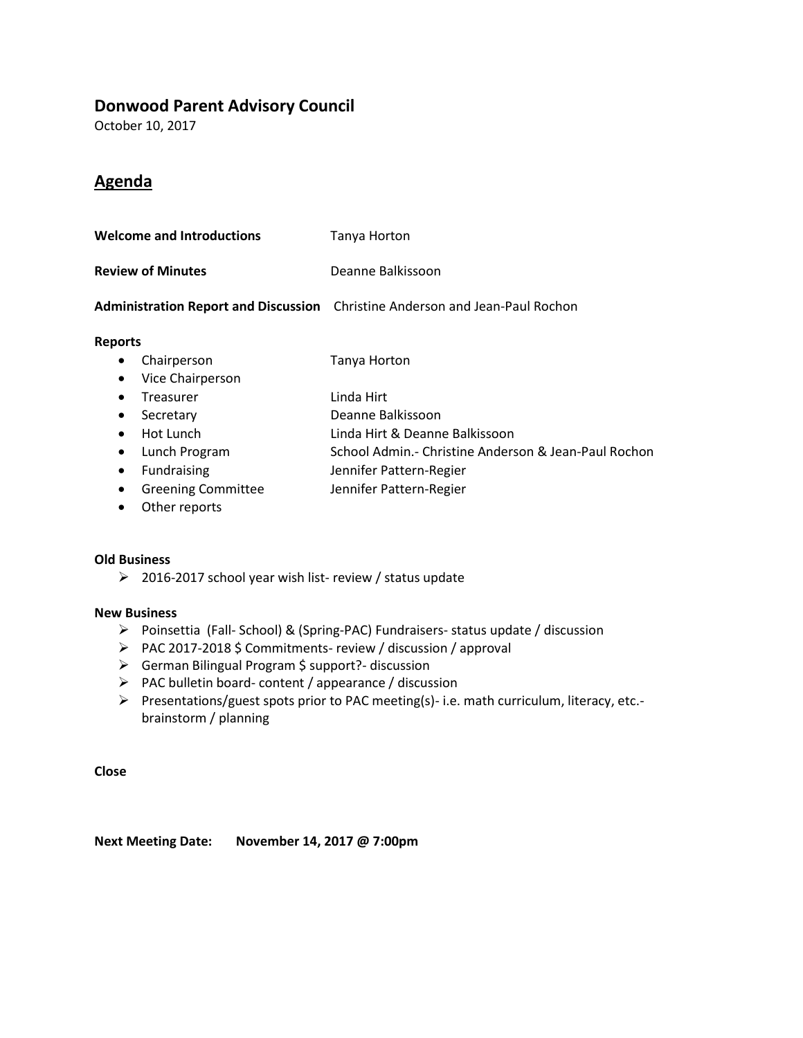### **Donwood Parent Advisory Council**

October 10, 2017

### **Agenda**

| <b>Welcome and Introductions</b> |                           | Tanya Horton                                                                 |  |  |
|----------------------------------|---------------------------|------------------------------------------------------------------------------|--|--|
| <b>Review of Minutes</b>         |                           | Deanne Balkissoon                                                            |  |  |
|                                  |                           | Administration Report and Discussion Christine Anderson and Jean-Paul Rochon |  |  |
| <b>Reports</b>                   |                           |                                                                              |  |  |
| ٠                                | Chairperson               | Tanya Horton                                                                 |  |  |
| $\bullet$                        | Vice Chairperson          |                                                                              |  |  |
| $\bullet$                        | Treasurer                 | Linda Hirt                                                                   |  |  |
| $\bullet$                        | Secretary                 | Deanne Balkissoon                                                            |  |  |
|                                  | Hot Lunch                 | Linda Hirt & Deanne Balkissoon                                               |  |  |
| $\bullet$                        | Lunch Program             | School Admin.- Christine Anderson & Jean-Paul Rochon                         |  |  |
| ٠                                | Fundraising               | Jennifer Pattern-Regier                                                      |  |  |
| ٠                                | <b>Greening Committee</b> | Jennifer Pattern-Regier                                                      |  |  |
|                                  |                           |                                                                              |  |  |

Other reports

#### **Old Business**

 $\geq$  2016-2017 school year wish list- review / status update

#### **New Business**

- Poinsettia (Fall- School) & (Spring-PAC) Fundraisers- status update / discussion
- > PAC 2017-2018 \$ Commitments- review / discussion / approval
- German Bilingual Program \$ support?- discussion
- $\triangleright$  PAC bulletin board- content / appearance / discussion
- Presentations/guest spots prior to PAC meeting(s)- i.e. math curriculum, literacy, etc. brainstorm / planning

**Close**

**Next Meeting Date: November 14, 2017 @ 7:00pm**